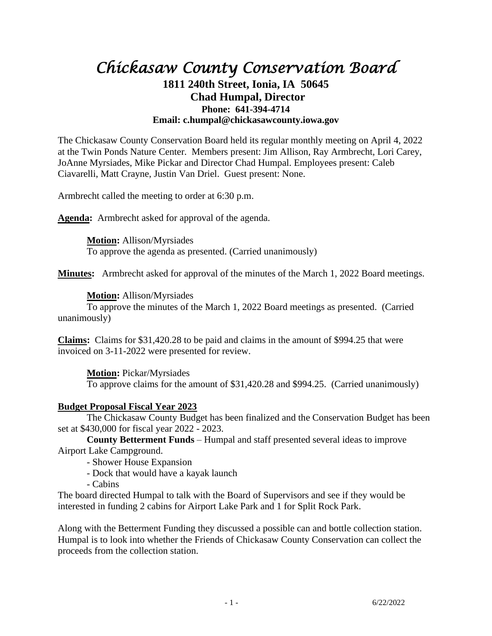# *Chickasaw County Conservation Board*  **1811 240th Street, Ionia, IA 50645 Chad Humpal, Director Phone: 641-394-4714 Email: c.humpal@chickasawcounty.iowa.gov**

The Chickasaw County Conservation Board held its regular monthly meeting on April 4, 2022 at the Twin Ponds Nature Center. Members present: Jim Allison, Ray Armbrecht, Lori Carey, JoAnne Myrsiades, Mike Pickar and Director Chad Humpal. Employees present: Caleb Ciavarelli, Matt Crayne, Justin Van Driel. Guest present: None.

Armbrecht called the meeting to order at 6:30 p.m.

**Agenda:** Armbrecht asked for approval of the agenda.

**Motion:** Allison/Myrsiades To approve the agenda as presented. (Carried unanimously)

**Minutes:** Armbrecht asked for approval of the minutes of the March 1, 2022 Board meetings.

# **Motion:** Allison/Myrsiades

To approve the minutes of the March 1, 2022 Board meetings as presented. (Carried unanimously)

**Claims:** Claims for \$31,420.28 to be paid and claims in the amount of \$994.25 that were invoiced on 3-11-2022 were presented for review.

**Motion:** Pickar/Myrsiades To approve claims for the amount of \$31,420.28 and \$994.25. (Carried unanimously)

# **Budget Proposal Fiscal Year 2023**

The Chickasaw County Budget has been finalized and the Conservation Budget has been set at \$430,000 for fiscal year 2022 - 2023.

**County Betterment Funds** – Humpal and staff presented several ideas to improve Airport Lake Campground.

- Shower House Expansion

- Dock that would have a kayak launch

- Cabins

The board directed Humpal to talk with the Board of Supervisors and see if they would be interested in funding 2 cabins for Airport Lake Park and 1 for Split Rock Park.

Along with the Betterment Funding they discussed a possible can and bottle collection station. Humpal is to look into whether the Friends of Chickasaw County Conservation can collect the proceeds from the collection station.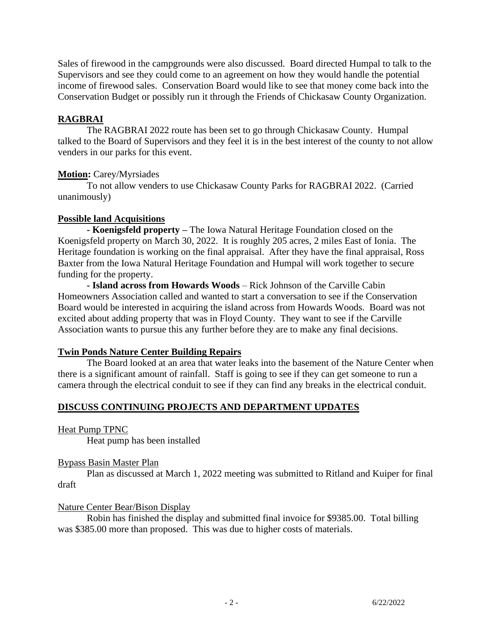Sales of firewood in the campgrounds were also discussed. Board directed Humpal to talk to the Supervisors and see they could come to an agreement on how they would handle the potential income of firewood sales. Conservation Board would like to see that money come back into the Conservation Budget or possibly run it through the Friends of Chickasaw County Organization.

# **RAGBRAI**

The RAGBRAI 2022 route has been set to go through Chickasaw County. Humpal talked to the Board of Supervisors and they feel it is in the best interest of the county to not allow venders in our parks for this event.

# **Motion:** Carey/Myrsiades

To not allow venders to use Chickasaw County Parks for RAGBRAI 2022. (Carried unanimously)

# **Possible land Acquisitions**

**- Koenigsfeld property –** The Iowa Natural Heritage Foundation closed on the Koenigsfeld property on March 30, 2022. It is roughly 205 acres, 2 miles East of Ionia. The Heritage foundation is working on the final appraisal. After they have the final appraisal, Ross Baxter from the Iowa Natural Heritage Foundation and Humpal will work together to secure funding for the property.

**- Island across from Howards Woods** – Rick Johnson of the Carville Cabin Homeowners Association called and wanted to start a conversation to see if the Conservation Board would be interested in acquiring the island across from Howards Woods. Board was not excited about adding property that was in Floyd County. They want to see if the Carville Association wants to pursue this any further before they are to make any final decisions.

# **Twin Ponds Nature Center Building Repairs**

The Board looked at an area that water leaks into the basement of the Nature Center when there is a significant amount of rainfall. Staff is going to see if they can get someone to run a camera through the electrical conduit to see if they can find any breaks in the electrical conduit.

# **DISCUSS CONTINUING PROJECTS AND DEPARTMENT UPDATES**

Heat Pump TPNC

Heat pump has been installed

# Bypass Basin Master Plan

Plan as discussed at March 1, 2022 meeting was submitted to Ritland and Kuiper for final draft

# Nature Center Bear/Bison Display

Robin has finished the display and submitted final invoice for \$9385.00. Total billing was \$385.00 more than proposed. This was due to higher costs of materials.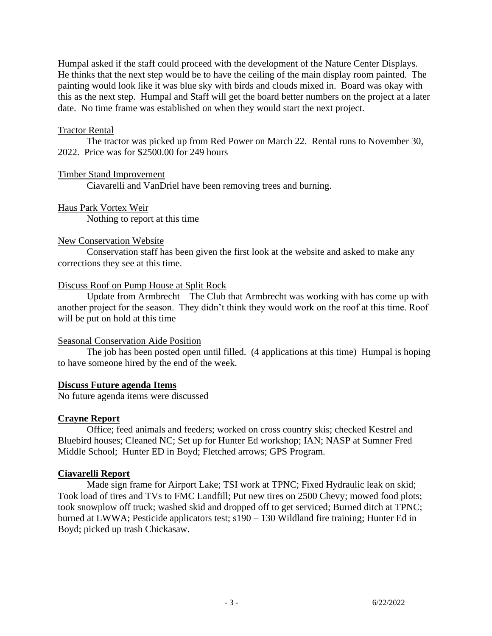Humpal asked if the staff could proceed with the development of the Nature Center Displays. He thinks that the next step would be to have the ceiling of the main display room painted. The painting would look like it was blue sky with birds and clouds mixed in. Board was okay with this as the next step. Humpal and Staff will get the board better numbers on the project at a later date. No time frame was established on when they would start the next project.

#### Tractor Rental

The tractor was picked up from Red Power on March 22. Rental runs to November 30, 2022. Price was for \$2500.00 for 249 hours

#### Timber Stand Improvement

Ciavarelli and VanDriel have been removing trees and burning.

Haus Park Vortex Weir Nothing to report at this time

#### New Conservation Website

Conservation staff has been given the first look at the website and asked to make any corrections they see at this time.

#### Discuss Roof on Pump House at Split Rock

Update from Armbrecht – The Club that Armbrecht was working with has come up with another project for the season. They didn't think they would work on the roof at this time. Roof will be put on hold at this time

# Seasonal Conservation Aide Position

The job has been posted open until filled. (4 applications at this time) Humpal is hoping to have someone hired by the end of the week.

#### **Discuss Future agenda Items**

No future agenda items were discussed

# **Crayne Report**

Office; feed animals and feeders; worked on cross country skis; checked Kestrel and Bluebird houses; Cleaned NC; Set up for Hunter Ed workshop; IAN; NASP at Sumner Fred Middle School; Hunter ED in Boyd; Fletched arrows; GPS Program.

# **Ciavarelli Report**

Made sign frame for Airport Lake; TSI work at TPNC; Fixed Hydraulic leak on skid; Took load of tires and TVs to FMC Landfill; Put new tires on 2500 Chevy; mowed food plots; took snowplow off truck; washed skid and dropped off to get serviced; Burned ditch at TPNC; burned at LWWA; Pesticide applicators test; s190 – 130 Wildland fire training; Hunter Ed in Boyd; picked up trash Chickasaw.